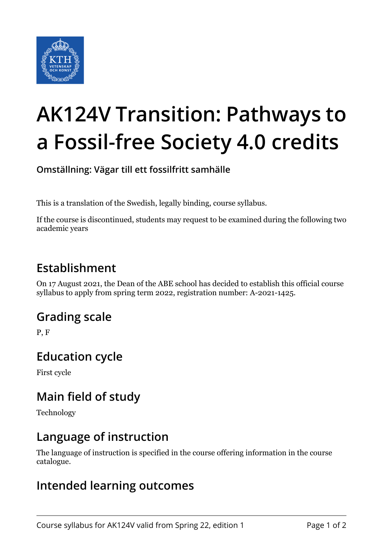

# **AK124V Transition: Pathways to a Fossil-free Society 4.0 credits**

**Omställning: Vägar till ett fossilfritt samhälle**

This is a translation of the Swedish, legally binding, course syllabus.

If the course is discontinued, students may request to be examined during the following two academic years

## **Establishment**

On 17 August 2021, the Dean of the ABE school has decided to establish this official course syllabus to apply from spring term 2022, registration number: A-2021-1425.

## **Grading scale**

P, F

## **Education cycle**

First cycle

## **Main field of study**

Technology

#### **Language of instruction**

The language of instruction is specified in the course offering information in the course catalogue.

## **Intended learning outcomes**